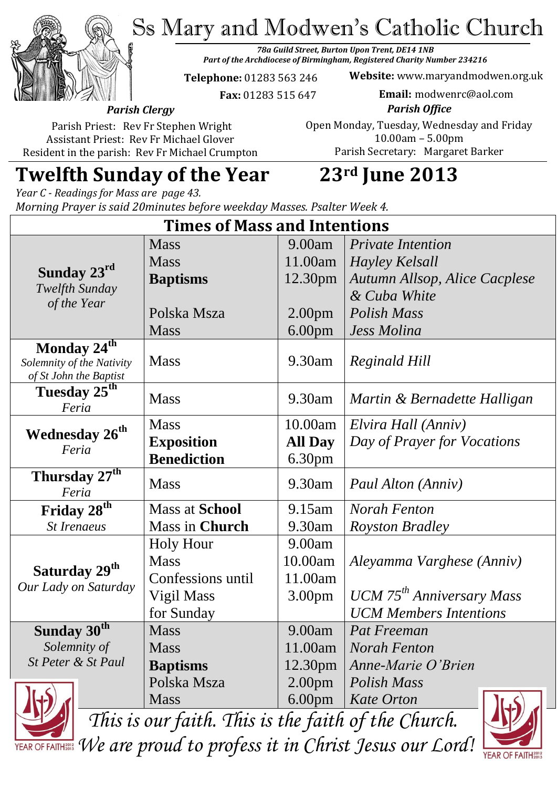Ss Mary and Modwen's Catholic Church

*78a Guild Street, Burton Upon Trent, DE14 1NB Part of the Archdiocese of Birmingham, Registered Charity Number 234216*

**Telephone:** 01283 563 246

 **Fax:** 01283 515 647

**Website:** www.maryandmodwen.org.uk **Email:** modwenrc@aol.com

*Parish Clergy* Parish Priest: Rev Fr Stephen Wright

Assistant Priest: Rev Fr Michael Glover Resident in the parish: Rev Fr Michael Crumpton

*Parish Office* Open Monday, Tuesday, Wednesday and Friday 10.00am – 5.00pm Parish Secretary:Margaret Barker

# **Twelfth Sunday of the Year 23rd June 2013**

*Year C - Readings for Mass are page 43. Morning Prayer is said 20minutes before weekday Masses. Psalter Week 4.*

| <b>Times of Mass and Intentions</b>                                                |                       |                    |                                              |
|------------------------------------------------------------------------------------|-----------------------|--------------------|----------------------------------------------|
| Sunday $23^{\text{rd}}$<br>Twelfth Sunday<br>of the Year                           | <b>Mass</b>           | 9.00am             | <b>Private Intention</b>                     |
|                                                                                    | <b>Mass</b>           | 11.00am            | Hayley Kelsall                               |
|                                                                                    | <b>Baptisms</b>       | 12.30pm            | Autumn Allsop, Alice Cacplese                |
|                                                                                    |                       |                    | & Cuba White                                 |
|                                                                                    | Polska Msza           | 2.00 <sub>pm</sub> | <b>Polish Mass</b>                           |
|                                                                                    | <b>Mass</b>           | 6.00 <sub>pm</sub> | <b>Jess Molina</b>                           |
| Monday $2\overline{4^{th}}$<br>Solemnity of the Nativity<br>of St John the Baptist | <b>Mass</b>           | 9.30am             | <b>Reginald Hill</b>                         |
| Tuesday 25 <sup>th</sup><br>Feria                                                  | <b>Mass</b>           | 9.30am             | Martin & Bernadette Halligan                 |
| <b>Wednesday 26th</b><br>Feria                                                     | <b>Mass</b>           | 10.00am            | Elvira Hall (Anniv)                          |
|                                                                                    | <b>Exposition</b>     | <b>All Day</b>     | Day of Prayer for Vocations                  |
|                                                                                    | <b>Benediction</b>    | 6.30pm             |                                              |
| Thursday $27^{th}$<br>Feria                                                        | <b>Mass</b>           | 9.30am             | Paul Alton (Anniv)                           |
| Friday 28 <sup>th</sup>                                                            | <b>Mass at School</b> | 9.15am             | <b>Norah Fenton</b>                          |
| <b>St Irenaeus</b>                                                                 | Mass in Church        | 9.30am             | <b>Royston Bradley</b>                       |
| Saturday 29 <sup>th</sup><br>Our Lady on Saturday                                  | <b>Holy Hour</b>      | 9.00am             |                                              |
|                                                                                    | <b>Mass</b>           | 10.00am            | Aleyamma Varghese (Anniv)                    |
|                                                                                    | Confessions until     | 11.00am            |                                              |
|                                                                                    | Vigil Mass            | 3.00pm             | <b>UCM</b> 75 <sup>th</sup> Anniversary Mass |
|                                                                                    | for Sunday            |                    | <b>UCM</b> Members Intentions                |
| Sunday $30th$                                                                      | <b>Mass</b>           | 9.00am             | Pat Freeman                                  |
| Solemnity of                                                                       | <b>Mass</b>           | 11.00am            | <b>Norah Fenton</b>                          |
| St Peter & St Paul                                                                 | <b>Baptisms</b>       | 12.30pm            | Anne-Marie O'Brien                           |
|                                                                                    | Polska Msza           | 2.00 <sub>pm</sub> | <b>Polish Mass</b>                           |
|                                                                                    | <b>Mass</b>           | 6.00 <sub>pm</sub> | <b>Kate Orton</b><br>$\mathbf{h}$ .          |



*This is our faith. This is the faith of the Church. We are proud to profess it in Christ Jesus our Lord!*

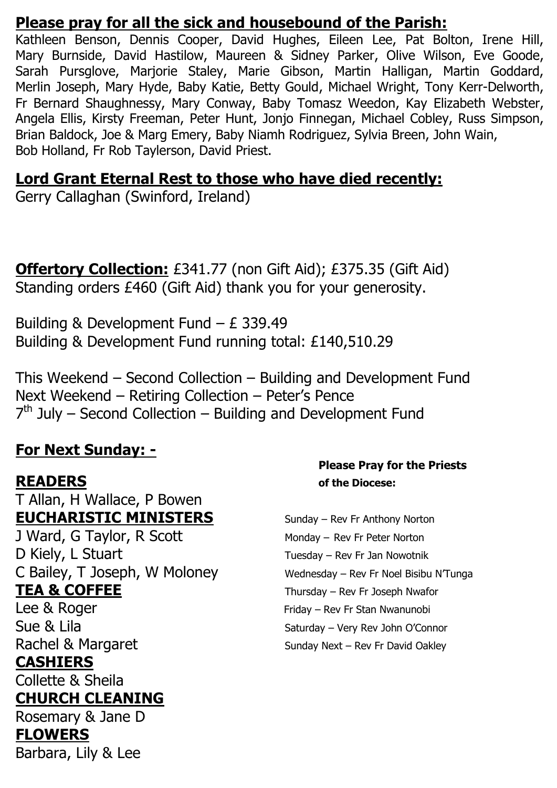#### **Please pray for all the sick and housebound of the Parish:**

Kathleen Benson, Dennis Cooper, David Hughes, Eileen Lee, Pat Bolton, Irene Hill, Mary Burnside, David Hastilow, Maureen & Sidney Parker, Olive Wilson, Eve Goode, Sarah Pursglove, Marjorie Staley, Marie Gibson, Martin Halligan, Martin Goddard, Merlin Joseph, Mary Hyde, Baby Katie, Betty Gould, Michael Wright, Tony Kerr-Delworth, Fr Bernard Shaughnessy, Mary Conway, Baby Tomasz Weedon, Kay Elizabeth Webster, Angela Ellis, Kirsty Freeman, Peter Hunt, Jonjo Finnegan, Michael Cobley, Russ Simpson, Brian Baldock, Joe & Marg Emery, Baby Niamh Rodriguez, Sylvia Breen, John Wain, Bob Holland, Fr Rob Taylerson, David Priest.

#### **Lord Grant Eternal Rest to those who have died recently:**

Gerry Callaghan (Swinford, Ireland)

**Offertory Collection:** £341.77 (non Gift Aid); £375.35 (Gift Aid) Standing orders £460 (Gift Aid) thank you for your generosity.

Building & Development Fund – £ 339.49 Building & Development Fund running total: £140,510.29

This Weekend – Second Collection – Building and Development Fund Next Weekend – Retiring Collection – Peter's Pence 7<sup>th</sup> July – Second Collection – Building and Development Fund

### **For Next Sunday: -**

T Allan, H Wallace, P Bowen **EUCHARISTIC MINISTERS** Sunday – Rev Fr Anthony Norton J Ward, G Taylor, R Scott Monday – Rev Fr Peter Norton D Kiely, L Stuart Tuesday – Rev Fr Jan Nowotnik C Bailey, T Joseph, W Moloney Wednesday – Rev Fr Noel Bisibu N'Tunga **TEA & COFFEE** Thursday – Rev Fr Joseph Nwafor Lee & Roger Friday – Rev Fr Stan Nwanunobi Sue & Lila Sue & Lila Rachel & Margaret Sunday Next – Rev Fr David Oakley **CASHIERS** Collette & Sheila **CHURCH CLEANING** Rosemary & Jane D **FLOWERS** 

#### **Please Pray for the Priests READERS of the Diocese:**

Barbara, Lily & Lee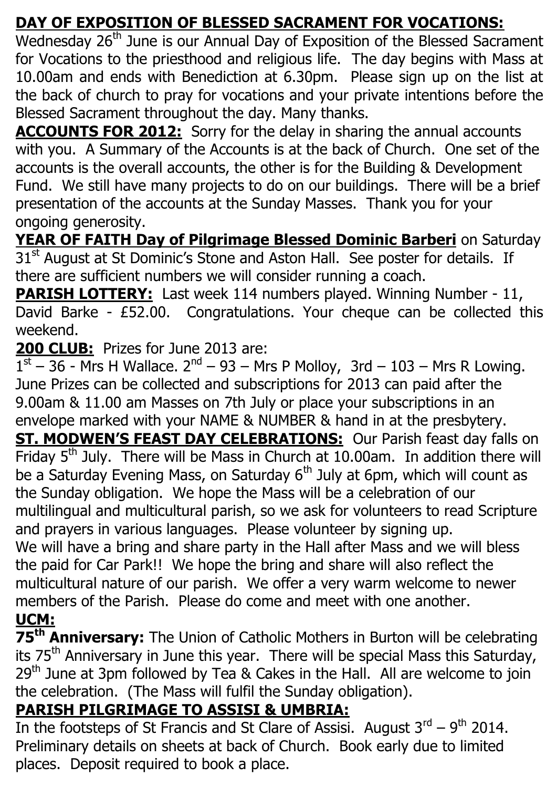## **DAY OF EXPOSITION OF BLESSED SACRAMENT FOR VOCATIONS:**

Wednesday 26<sup>th</sup> June is our Annual Day of Exposition of the Blessed Sacrament for Vocations to the priesthood and religious life. The day begins with Mass at 10.00am and ends with Benediction at 6.30pm. Please sign up on the list at the back of church to pray for vocations and your private intentions before the Blessed Sacrament throughout the day. Many thanks.

**ACCOUNTS FOR 2012:** Sorry for the delay in sharing the annual accounts with you. A Summary of the Accounts is at the back of Church. One set of the accounts is the overall accounts, the other is for the Building & Development Fund. We still have many projects to do on our buildings. There will be a brief presentation of the accounts at the Sunday Masses. Thank you for your ongoing generosity.

**YEAR OF FAITH Day of Pilgrimage Blessed Dominic Barberi** on Saturday 31<sup>st</sup> August at St Dominic's Stone and Aston Hall. See poster for details. If there are sufficient numbers we will consider running a coach.

**PARISH LOTTERY:** Last week 114 numbers played. Winning Number - 11, David Barke - £52.00. Congratulations. Your cheque can be collected this weekend.

**200 CLUB:** Prizes for June 2013 are:

 $1<sup>st</sup> - 36$  - Mrs H Wallace.  $2<sup>nd</sup> - 93 - Mrs$  P Molloy, 3rd - 103 - Mrs R Lowing. June Prizes can be collected and subscriptions for 2013 can paid after the 9.00am & 11.00 am Masses on 7th July or place your subscriptions in an envelope marked with your NAME & NUMBER & hand in at the presbytery.

**ST. MODWEN'S FEAST DAY CELEBRATIONS:** Our Parish feast day falls on Friday 5<sup>th</sup> July. There will be Mass in Church at 10.00am. In addition there will be a Saturday Evening Mass, on Saturday  $6<sup>th</sup>$  July at 6pm, which will count as the Sunday obligation. We hope the Mass will be a celebration of our multilingual and multicultural parish, so we ask for volunteers to read Scripture and prayers in various languages. Please volunteer by signing up.

We will have a bring and share party in the Hall after Mass and we will bless the paid for Car Park!! We hope the bring and share will also reflect the multicultural nature of our parish. We offer a very warm welcome to newer members of the Parish. Please do come and meet with one another. **UCM:**

## **75th Anniversary:** The Union of Catholic Mothers in Burton will be celebrating its 75<sup>th</sup> Anniversary in June this year. There will be special Mass this Saturday,  $29<sup>th</sup>$  June at 3pm followed by Tea & Cakes in the Hall. All are welcome to join the celebration. (The Mass will fulfil the Sunday obligation).

## **PARISH PILGRIMAGE TO ASSISI & UMBRIA:**

In the footsteps of St Francis and St Clare of Assisi. August  $3^{\text{rd}} - 9^{\text{th}}$  2014. Preliminary details on sheets at back of Church. Book early due to limited places. Deposit required to book a place.